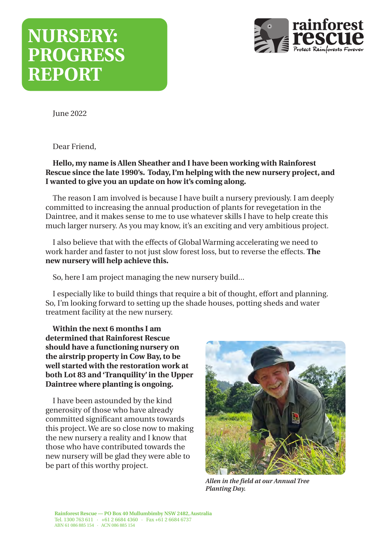# **NURSERY: PROGRESS REPORT**



June 2022

Dear Friend,

#### **Hello, my name is Allen Sheather and I have been working with Rainforest Rescue since the late 1990's. Today, I'm helping with the new nursery project, and I wanted to give you an update on how it's coming along.**

The reason I am involved is because I have built a nursery previously. I am deeply committed to increasing the annual production of plants for revegetation in the Daintree, and it makes sense to me to use whatever skills I have to help create this much larger nursery. As you may know, it's an exciting and very ambitious project.

I also believe that with the effects of Global Warming accelerating we need to work harder and faster to not just slow forest loss, but to reverse the effects. **The new nursery will help achieve this.**

So, here I am project managing the new nursery build...

I especially like to build things that require a bit of thought, effort and planning. So, I'm looking forward to setting up the shade houses, potting sheds and water treatment facility at the new nursery.

**Within the next 6 months I am determined that Rainforest Rescue should have a functioning nursery on the airstrip property in Cow Bay, to be well started with the restoration work at both Lot 83 and 'Tranquility' in the Upper Daintree where planting is ongoing.**

I have been astounded by the kind generosity of those who have already committed significant amounts towards this project. We are so close now to making the new nursery a reality and I know that those who have contributed towards the new nursery will be glad they were able to be part of this worthy project.



*Allen in the field at our Annual Tree Planting Day.*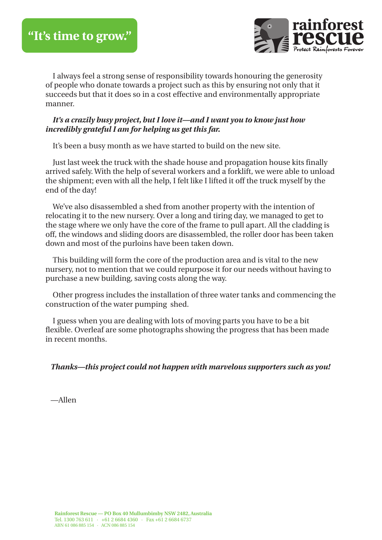

I always feel a strong sense of responsibility towards honouring the generosity of people who donate towards a project such as this by ensuring not only that it succeeds but that it does so in a cost effective and environmentally appropriate manner.

#### *It's a crazily busy project, but I love it—and I want you to know just how incredibly grateful I am for helping us get this far.*

It's been a busy month as we have started to build on the new site.

Just last week the truck with the shade house and propagation house kits finally arrived safely. With the help of several workers and a forklift, we were able to unload the shipment; even with all the help, I felt like I lifted it off the truck myself by the end of the day!

We've also disassembled a shed from another property with the intention of relocating it to the new nursery. Over a long and tiring day, we managed to get to the stage where we only have the core of the frame to pull apart. All the cladding is off, the windows and sliding doors are disassembled, the roller door has been taken down and most of the purloins have been taken down.

This building will form the core of the production area and is vital to the new nursery, not to mention that we could repurpose it for our needs without having to purchase a new building, saving costs along the way.

Other progress includes the installation of three water tanks and commencing the construction of the water pumping shed.

I guess when you are dealing with lots of moving parts you have to be a bit flexible. Overleaf are some photographs showing the progress that has been made in recent months.

*Thanks—this project could not happen with marvelous supporters such as you!*

—Allen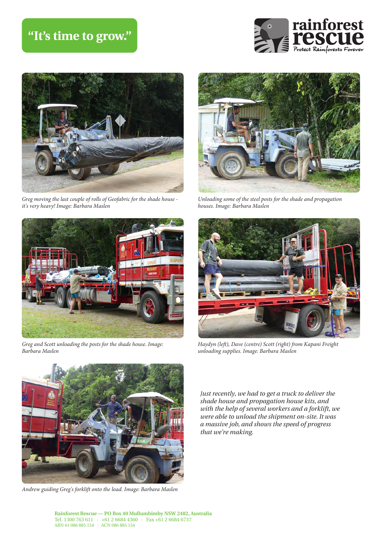## **"It's time to grow."**





*Greg moving the last couple of rolls of Geofabric for the shade house it's very heavy! Image: Barbara Maslen*



*Unloading some of the steel posts for the shade and propagation houses. Image: Barbara Maslen*



*Greg and Scott unloading the posts for the shade house. Image: Barbara Maslen*



*Andrew guiding Greg's forklift onto the load. Image: Barbara Maslen*



*Haydyn (left), Dave (centre) Scott (right) from Kapani Freight unloading supplies. Image: Barbara Maslen*

*Just recently, we had to get a truck to deliver the shade house and propagation house kits, and with the help of several workers and a forklift, we were able to unload the shipment on-site. It was a massive job, and shows the speed of progress that we're making.*